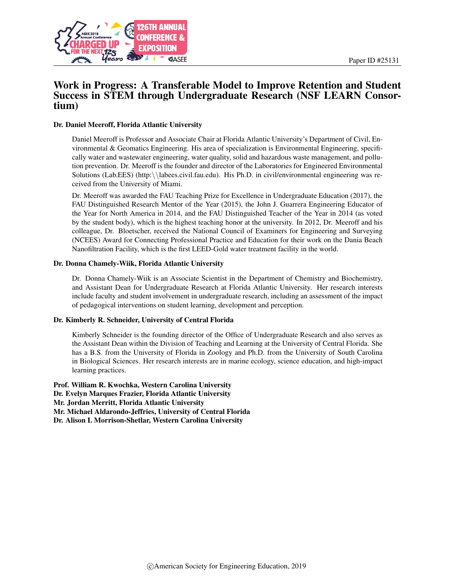

# Work in Progress: A Transferable Model to Improve Retention and Student Success in STEM through Undergraduate Research (NSF LEARN Consortium)

#### Dr. Daniel Meeroff, Florida Atlantic University

Daniel Meeroff is Professor and Associate Chair at Florida Atlantic University's Department of Civil, Environmental & Geomatics Engineering. His area of specialization is Environmental Engineering, specifically water and wastewater engineering, water quality, solid and hazardous waste management, and pollution prevention. Dr. Meeroff is the founder and director of the Laboratories for Engineered Environmental Solutions (Lab.EES) (http:\\labees.civil.fau.edu). His Ph.D. in civil/environmental engineering was received from the University of Miami.

Dr. Meeroff was awarded the FAU Teaching Prize for Excellence in Undergraduate Education (2017), the FAU Distinguished Research Mentor of the Year (2015), the John J. Guarrera Engineering Educator of the Year for North America in 2014, and the FAU Distinguished Teacher of the Year in 2014 (as voted by the student body), which is the highest teaching honor at the university. In 2012, Dr. Meeroff and his colleague, Dr. Bloetscher, received the National Council of Examiners for Engineering and Surveying (NCEES) Award for Connecting Professional Practice and Education for their work on the Dania Beach Nanofiltration Facility, which is the first LEED-Gold water treatment facility in the world.

#### Dr. Donna Chamely-Wiik, Florida Atlantic University

Dr. Donna Chamely-Wiik is an Associate Scientist in the Department of Chemistry and Biochemistry, and Assistant Dean for Undergraduate Research at Florida Atlantic University. Her research interests include faculty and student involvement in undergraduate research, including an assessment of the impact of pedagogical interventions on student learning, development and perception.

#### Dr. Kimberly R. Schneider, University of Central Florida

Kimberly Schneider is the founding director of the Office of Undergraduate Research and also serves as the Assistant Dean within the Division of Teaching and Learning at the University of Central Florida. She has a B.S. from the University of Florida in Zoology and Ph.D. from the University of South Carolina in Biological Sciences. Her research interests are in marine ecology, science education, and high-impact learning practices.

Prof. William R. Kwochka, Western Carolina University Dr. Evelyn Marques Frazier, Florida Atlantic University Mr. Jordan Merritt, Florida Atlantic University Mr. Michael Aldarondo-Jeffries, University of Central Florida Dr. Alison I. Morrison-Shetlar, Western Carolina University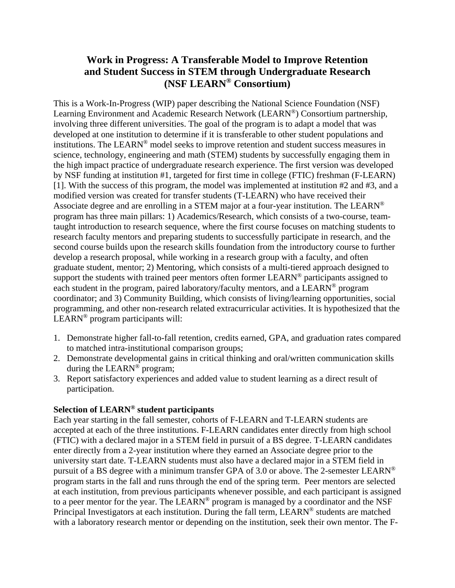# **Work in Progress: A Transferable Model to Improve Retention and Student Success in STEM through Undergraduate Research (NSF LEARN® Consortium)**

This is a Work-In-Progress (WIP) paper describing the National Science Foundation (NSF) Learning Environment and Academic Research Network (LEARN®) Consortium partnership, involving three different universities. The goal of the program is to adapt a model that was developed at one institution to determine if it is transferable to other student populations and institutions. The LEARN® model seeks to improve retention and student success measures in science, technology, engineering and math (STEM) students by successfully engaging them in the high impact practice of undergraduate research experience. The first version was developed by NSF funding at institution #1, targeted for first time in college (FTIC) freshman (F-LEARN) [1]. With the success of this program, the model was implemented at institution #2 and #3, and a modified version was created for transfer students (T-LEARN) who have received their Associate degree and are enrolling in a STEM major at a four-year institution. The LEARN<sup>®</sup> program has three main pillars: 1) Academics/Research, which consists of a two-course, teamtaught introduction to research sequence, where the first course focuses on matching students to research faculty mentors and preparing students to successfully participate in research, and the second course builds upon the research skills foundation from the introductory course to further develop a research proposal, while working in a research group with a faculty, and often graduate student, mentor; 2) Mentoring, which consists of a multi-tiered approach designed to support the students with trained peer mentors often former LEARN<sup>®</sup> participants assigned to each student in the program, paired laboratory/faculty mentors, and a LEARN<sup>®</sup> program coordinator; and 3) Community Building, which consists of living/learning opportunities, social programming, and other non-research related extracurricular activities. It is hypothesized that the LEARN® program participants will:

- 1. Demonstrate higher fall-to-fall retention, credits earned, GPA, and graduation rates compared to matched intra-institutional comparison groups;
- 2. Demonstrate developmental gains in critical thinking and oral/written communication skills during the LEARN® program;
- 3. Report satisfactory experiences and added value to student learning as a direct result of participation.

### **Selection of LEARN® student participants**

Each year starting in the fall semester, cohorts of F-LEARN and T-LEARN students are accepted at each of the three institutions. F-LEARN candidates enter directly from high school (FTIC) with a declared major in a STEM field in pursuit of a BS degree. T-LEARN candidates enter directly from a 2-year institution where they earned an Associate degree prior to the university start date. T-LEARN students must also have a declared major in a STEM field in pursuit of a BS degree with a minimum transfer GPA of 3.0 or above. The 2-semester LEARN® program starts in the fall and runs through the end of the spring term. Peer mentors are selected at each institution, from previous participants whenever possible, and each participant is assigned to a peer mentor for the year. The LEARN® program is managed by a coordinator and the NSF Principal Investigators at each institution. During the fall term, LEARN<sup>®</sup> students are matched with a laboratory research mentor or depending on the institution, seek their own mentor. The F-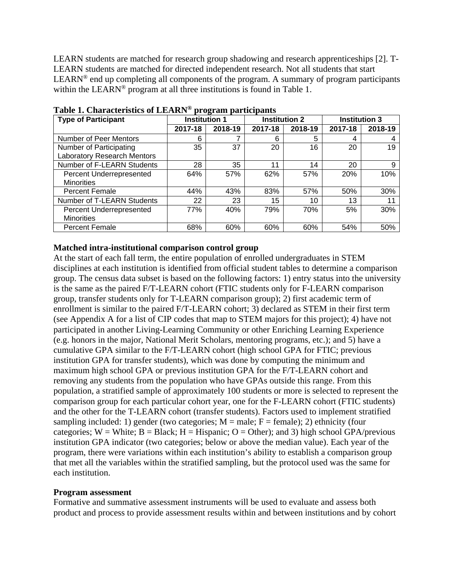LEARN students are matched for research group shadowing and research apprenticeships [2]. T-LEARN students are matched for directed independent research. Not all students that start LEARN<sup>®</sup> end up completing all components of the program. A summary of program participants within the LEARN<sup>®</sup> program at all three institutions is found in Table 1.

| <b>Type of Participant</b>         | <b>Institution 1</b> |         | <b>Institution 2</b> |         |         | <b>Institution 3</b> |
|------------------------------------|----------------------|---------|----------------------|---------|---------|----------------------|
|                                    | 2017-18              | 2018-19 | 2017-18              | 2018-19 | 2017-18 | 2018-19              |
| Number of Peer Mentors             | 6                    |         | 6                    | 5       | 4       | 4                    |
| Number of Participating            | 35                   | 37      | 20                   | 16      | 20      | 19                   |
| <b>Laboratory Research Mentors</b> |                      |         |                      |         |         |                      |
| Number of F-LEARN Students         | 28                   | 35      | 11                   | 14      | 20      | 9                    |
| Percent Underrepresented           | 64%                  | 57%     | 62%                  | 57%     | 20%     | 10%                  |
| <b>Minorities</b>                  |                      |         |                      |         |         |                      |
| <b>Percent Female</b>              | 44%                  | 43%     | 83%                  | 57%     | 50%     | 30%                  |
| Number of T-LEARN Students         | 22                   | 23      | 15                   | 10      | 13      | 11                   |
| Percent Underrepresented           | 77%                  | 40%     | 79%                  | 70%     | 5%      | 30%                  |
| <b>Minorities</b>                  |                      |         |                      |         |         |                      |
| <b>Percent Female</b>              | 68%                  | 60%     | 60%                  | 60%     | 54%     | 50%                  |

**Table 1. Characteristics of LEARN® program participants** 

### **Matched intra-institutional comparison control group**

At the start of each fall term, the entire population of enrolled undergraduates in STEM disciplines at each institution is identified from official student tables to determine a comparison group. The census data subset is based on the following factors: 1) entry status into the university is the same as the paired F/T-LEARN cohort (FTIC students only for F-LEARN comparison group, transfer students only for T-LEARN comparison group); 2) first academic term of enrollment is similar to the paired F/T-LEARN cohort; 3) declared as STEM in their first term (see Appendix A for a list of CIP codes that map to STEM majors for this project); 4) have not participated in another Living-Learning Community or other Enriching Learning Experience (e.g. honors in the major, National Merit Scholars, mentoring programs, etc.); and 5) have a cumulative GPA similar to the F/T-LEARN cohort (high school GPA for FTIC; previous institution GPA for transfer students), which was done by computing the minimum and maximum high school GPA or previous institution GPA for the F/T-LEARN cohort and removing any students from the population who have GPAs outside this range. From this population, a stratified sample of approximately 100 students or more is selected to represent the comparison group for each particular cohort year, one for the F-LEARN cohort (FTIC students) and the other for the T-LEARN cohort (transfer students). Factors used to implement stratified sampling included: 1) gender (two categories;  $M = male$ ;  $F = female$ ); 2) ethnicity (four categories;  $W = White$ ;  $B = Black$ ;  $H = Hispanic$ ;  $O = Other$ ); and 3) high school GPA/previous institution GPA indicator (two categories; below or above the median value). Each year of the program, there were variations within each institution's ability to establish a comparison group that met all the variables within the stratified sampling, but the protocol used was the same for each institution.

### **Program assessment**

Formative and summative assessment instruments will be used to evaluate and assess both product and process to provide assessment results within and between institutions and by cohort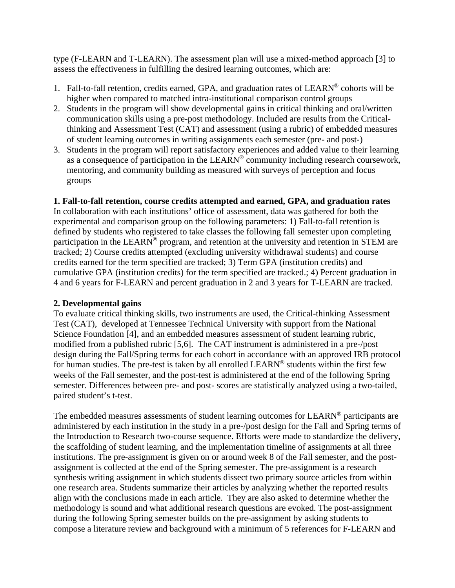type (F-LEARN and T-LEARN). The assessment plan will use a mixed-method approach [3] to assess the effectiveness in fulfilling the desired learning outcomes, which are:

- 1. Fall-to-fall retention, credits earned, GPA, and graduation rates of LEARN® cohorts will be higher when compared to matched intra-institutional comparison control groups
- 2. Students in the program will show developmental gains in critical thinking and oral/written communication skills using a pre-post methodology. Included are results from the Criticalthinking and Assessment Test (CAT) and assessment (using a rubric) of embedded measures of student learning outcomes in writing assignments each semester (pre- and post-)
- 3. Students in the program will report satisfactory experiences and added value to their learning as a consequence of participation in the LEARN<sup>®</sup> community including research coursework, mentoring, and community building as measured with surveys of perception and focus groups

# **1. Fall-to-fall retention, course credits attempted and earned, GPA, and graduation rates**

In collaboration with each institutions' office of assessment, data was gathered for both the experimental and comparison group on the following parameters: 1) Fall-to-fall retention is defined by students who registered to take classes the following fall semester upon completing participation in the LEARN® program, and retention at the university and retention in STEM are tracked; 2) Course credits attempted (excluding university withdrawal students) and course credits earned for the term specified are tracked; 3) Term GPA (institution credits) and cumulative GPA (institution credits) for the term specified are tracked.; 4) Percent graduation in 4 and 6 years for F-LEARN and percent graduation in 2 and 3 years for T-LEARN are tracked.

# **2. Developmental gains**

To evaluate critical thinking skills, two instruments are used, the Critical-thinking Assessment Test (CAT), developed at Tennessee Technical University with support from the National Science Foundation [4], and an embedded measures assessment of student learning rubric, modified from a published rubric [5,6]. The CAT instrument is administered in a pre-/post design during the Fall/Spring terms for each cohort in accordance with an approved IRB protocol for human studies. The pre-test is taken by all enrolled LEARN® students within the first few weeks of the Fall semester, and the post-test is administered at the end of the following Spring semester. Differences between pre- and post- scores are statistically analyzed using a two-tailed, paired student's t-test.

The embedded measures assessments of student learning outcomes for LEARN<sup>®</sup> participants are administered by each institution in the study in a pre-/post design for the Fall and Spring terms of the Introduction to Research two-course sequence. Efforts were made to standardize the delivery, the scaffolding of student learning, and the implementation timeline of assignments at all three institutions. The pre-assignment is given on or around week 8 of the Fall semester, and the postassignment is collected at the end of the Spring semester. The pre-assignment is a research synthesis writing assignment in which students dissect two primary source articles from within one research area. Students summarize their articles by analyzing whether the reported results align with the conclusions made in each article. They are also asked to determine whether the methodology is sound and what additional research questions are evoked. The post-assignment during the following Spring semester builds on the pre-assignment by asking students to compose a literature review and background with a minimum of 5 references for F-LEARN and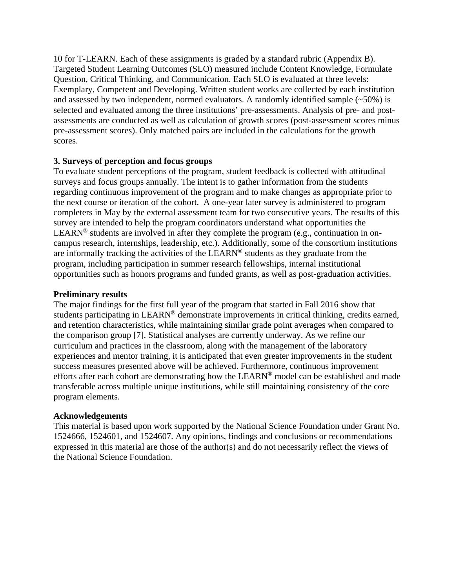10 for T-LEARN. Each of these assignments is graded by a standard rubric (Appendix B). Targeted Student Learning Outcomes (SLO) measured include Content Knowledge, Formulate Question, Critical Thinking, and Communication. Each SLO is evaluated at three levels: Exemplary, Competent and Developing. Written student works are collected by each institution and assessed by two independent, normed evaluators. A randomly identified sample  $(\sim 50\%)$  is selected and evaluated among the three institutions' pre-assessments. Analysis of pre- and postassessments are conducted as well as calculation of growth scores (post-assessment scores minus pre-assessment scores). Only matched pairs are included in the calculations for the growth scores.

### **3. Surveys of perception and focus groups**

To evaluate student perceptions of the program, student feedback is collected with attitudinal surveys and focus groups annually. The intent is to gather information from the students regarding continuous improvement of the program and to make changes as appropriate prior to the next course or iteration of the cohort. A one-year later survey is administered to program completers in May by the external assessment team for two consecutive years. The results of this survey are intended to help the program coordinators understand what opportunities the LEARN<sup>®</sup> students are involved in after they complete the program (e.g., continuation in oncampus research, internships, leadership, etc.). Additionally, some of the consortium institutions are informally tracking the activities of the LEARN® students as they graduate from the program, including participation in summer research fellowships, internal institutional opportunities such as honors programs and funded grants, as well as post-graduation activities.

### **Preliminary results**

The major findings for the first full year of the program that started in Fall 2016 show that students participating in LEARN<sup>®</sup> demonstrate improvements in critical thinking, credits earned, and retention characteristics, while maintaining similar grade point averages when compared to the comparison group [7]. Statistical analyses are currently underway. As we refine our curriculum and practices in the classroom, along with the management of the laboratory experiences and mentor training, it is anticipated that even greater improvements in the student success measures presented above will be achieved. Furthermore, continuous improvement efforts after each cohort are demonstrating how the LEARN® model can be established and made transferable across multiple unique institutions, while still maintaining consistency of the core program elements.

### **Acknowledgements**

This material is based upon work supported by the National Science Foundation under Grant No. 1524666, 1524601, and 1524607. Any opinions, findings and conclusions or recommendations expressed in this material are those of the author(s) and do not necessarily reflect the views of the National Science Foundation.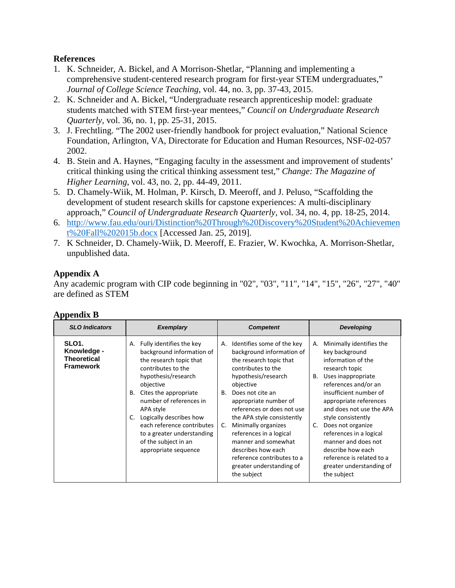## **References**

- 1. K. Schneider, A. Bickel, and A Morrison-Shetlar, "Planning and implementing a comprehensive student-centered research program for first-year STEM undergraduates," *Journal of College Science Teaching*, vol. 44, no. 3, pp. 37-43, 2015.
- 2. K. Schneider and A. Bickel, "Undergraduate research apprenticeship model: graduate students matched with STEM first-year mentees," *Council on Undergraduate Research Quarterly,* vol. 36, no. 1, pp. 25-31, 2015.
- 3. J. Frechtling. "The 2002 user-friendly handbook for project evaluation," National Science Foundation, Arlington, VA, Directorate for Education and Human Resources, NSF-02-057 2002.
- 4. B. Stein and A. Haynes, "Engaging faculty in the assessment and improvement of students' critical thinking using the critical thinking assessment test," *Change: The Magazine of Higher Learning*, vol. 43, no. 2, pp. 44-49, 2011.
- 5. D. Chamely-Wiik, M. Holman, P. Kirsch, D. Meeroff, and J. Peluso, "Scaffolding the development of student research skills for capstone experiences: A multi-disciplinary approach," *Council of Undergraduate Research Quarterly,* vol. 34, no. 4, pp. 18-25, 2014.
- 6. http://www.fau.edu/ouri/Distinction%20Through%20Discovery%20Student%20Achievemen t%20Fall%202015b.docx [Accessed Jan. 25, 2019].
- 7. K Schneider, D. Chamely-Wiik, D. Meeroff, E. Frazier, W. Kwochka, A. Morrison-Shetlar, unpublished data.

# **Appendix A**

Any academic program with CIP code beginning in "02", "03", "11", "14", "15", "26", "27", "40" are defined as STEM

| <b>SLO Indicators</b>                                                       | <b>Exemplary</b>                                                                                                                                                                                                                                                                                                                                                     | <b>Competent</b>                                                                                                                                                                                                                                                                                                                                                                                                                                | <b>Developing</b>                                                                                                                                                                                                                                                                                                                                                                                                            |
|-----------------------------------------------------------------------------|----------------------------------------------------------------------------------------------------------------------------------------------------------------------------------------------------------------------------------------------------------------------------------------------------------------------------------------------------------------------|-------------------------------------------------------------------------------------------------------------------------------------------------------------------------------------------------------------------------------------------------------------------------------------------------------------------------------------------------------------------------------------------------------------------------------------------------|------------------------------------------------------------------------------------------------------------------------------------------------------------------------------------------------------------------------------------------------------------------------------------------------------------------------------------------------------------------------------------------------------------------------------|
| SLO <sub>1</sub> .<br>Knowledge -<br><b>Theoretical</b><br><b>Framework</b> | Fully identifies the key<br>А.<br>background information of<br>the research topic that<br>contributes to the<br>hypothesis/research<br>objective<br>Cites the appropriate<br>В.<br>number of references in<br>APA style<br>Logically describes how<br>C.<br>each reference contributes<br>to a greater understanding<br>of the subject in an<br>appropriate sequence | Identifies some of the key<br>А.<br>background information of<br>the research topic that<br>contributes to the<br>hypothesis/research<br>objective<br>Does not cite an<br>В.<br>appropriate number of<br>references or does not use<br>the APA style consistently<br>Minimally organizes<br>C.<br>references in a logical<br>manner and somewhat<br>describes how each<br>reference contributes to a<br>greater understanding of<br>the subject | Minimally identifies the<br>А.<br>key background<br>information of the<br>research topic<br>Uses inappropriate<br>В.<br>references and/or an<br>insufficient number of<br>appropriate references<br>and does not use the APA<br>style consistently<br>C.<br>Does not organize<br>references in a logical<br>manner and does not<br>describe how each<br>reference is related to a<br>greater understanding of<br>the subject |

# **Appendix B**